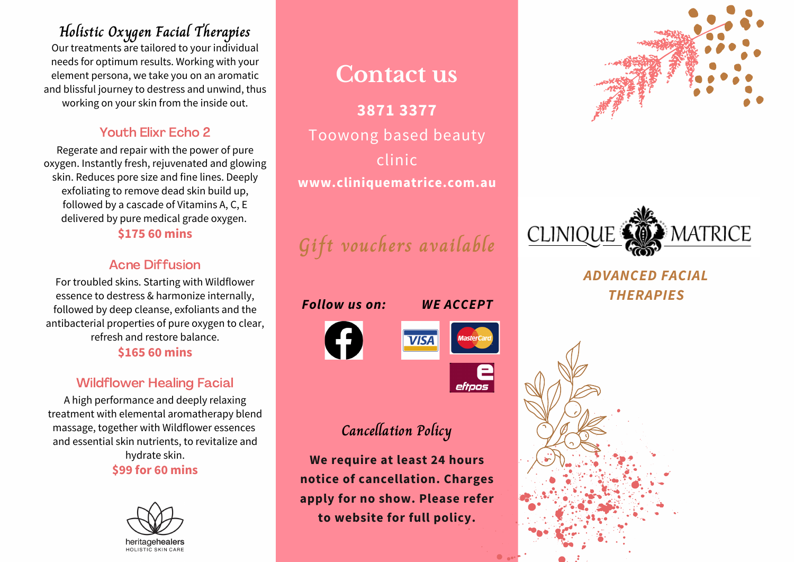**Holistic Oxygen Facial Therapies** Our treatments are tailored to your individual needs for optimum results. Working with your element persona, we take you on an aromatic and blissful journey to destress and unwind, thus working on your skin from the inside out.

#### Youth Elixr Echo 2

Regerate and repair with the power of pure oxygen. Instantly fresh, rejuvenated and glowing skin. Reduces pore size and fine lines. Deeply exfoliating to remove dead skin build up, followed by a cascade of Vitamins A, C, E delivered by pure medical grade oxygen.

#### **\$175 60 mins**

#### Acne Diffusion

For troubled skins. Starting with Wildflower essence to destress & harmonize internally, followed by deep cleanse, exfoliants and the antibacterial properties of pure oxygen to clear, refresh and restore balance. **\$165 60 mins**

### Wildflower Healing Facial

A high performance and deeply relaxing treatment with elemental aromatherapy blend massage, together with Wildflower essences and essential skin nutrients, to revitalize and hydrate skin. **\$99 for 60 mins**



### **Contact us**

**3871 3377** Toowong based beauty clinic **www.cliniquematrice.com.au**

**Gift vouchers available**



### **Cancellation Policy**

**We require at least 24 hours notice of cancellation. Charges apply for no show. Please refer to website for full policy.**





*ADVANCED FACIAL THERAPIES*